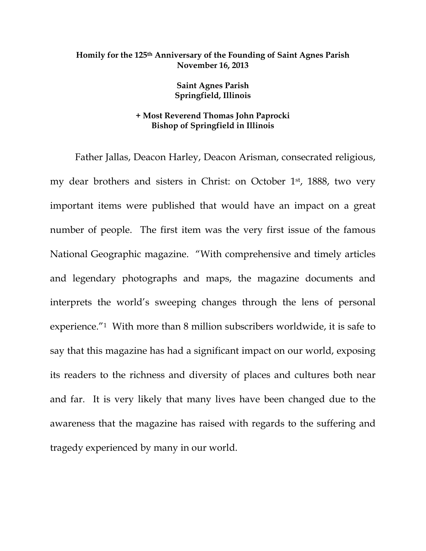## **Homily for the 125th Anniversary of the Founding of Saint Agnes Parish November 16, 2013**

**Saint Agnes Parish Springfield, Illinois** 

## **+ Most Reverend Thomas John Paprocki Bishop of Springfield in Illinois**

 Father Jallas, Deacon Harley, Deacon Arisman, consecrated religious, my dear brothers and sisters in Christ: on October 1<sup>st</sup>, 1888, two very important items were published that would have an impact on a great number of people. The first item was the very first issue of the famous National Geographic magazine. "With comprehensive and timely articles and legendary photographs and maps, the magazine documents and interprets the world's sweeping changes through the lens of personal experience."1 With more than 8 million subscribers worldwide, it is safe to say that this magazine has had a significant impact on our world, exposing its readers to the richness and diversity of places and cultures both near and far. It is very likely that many lives have been changed due to the awareness that the magazine has raised with regards to the suffering and tragedy experienced by many in our world.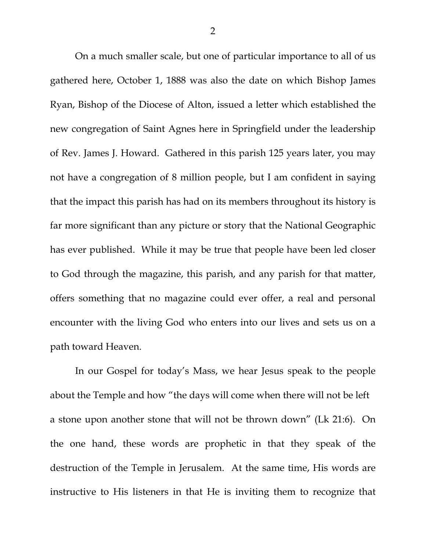On a much smaller scale, but one of particular importance to all of us gathered here, October 1, 1888 was also the date on which Bishop James Ryan, Bishop of the Diocese of Alton, issued a letter which established the new congregation of Saint Agnes here in Springfield under the leadership of Rev. James J. Howard. Gathered in this parish 125 years later, you may not have a congregation of 8 million people, but I am confident in saying that the impact this parish has had on its members throughout its history is far more significant than any picture or story that the National Geographic has ever published. While it may be true that people have been led closer to God through the magazine, this parish, and any parish for that matter, offers something that no magazine could ever offer, a real and personal encounter with the living God who enters into our lives and sets us on a path toward Heaven.

 In our Gospel for today's Mass, we hear Jesus speak to the people about the Temple and how "the days will come when there will not be left a stone upon another stone that will not be thrown down" (Lk 21:6). On the one hand, these words are prophetic in that they speak of the destruction of the Temple in Jerusalem. At the same time, His words are instructive to His listeners in that He is inviting them to recognize that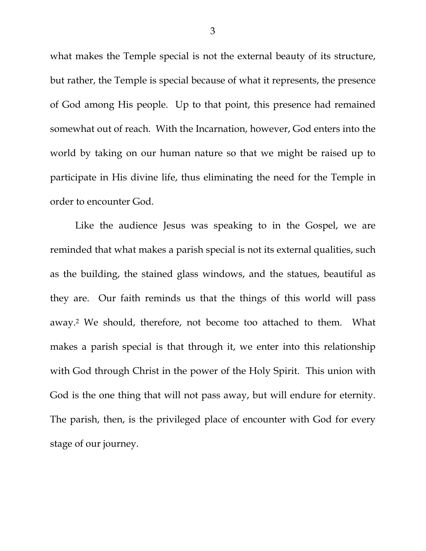what makes the Temple special is not the external beauty of its structure, but rather, the Temple is special because of what it represents, the presence of God among His people. Up to that point, this presence had remained somewhat out of reach. With the Incarnation, however, God enters into the world by taking on our human nature so that we might be raised up to participate in His divine life, thus eliminating the need for the Temple in order to encounter God.

 Like the audience Jesus was speaking to in the Gospel, we are reminded that what makes a parish special is not its external qualities, such as the building, the stained glass windows, and the statues, beautiful as they are. Our faith reminds us that the things of this world will pass away.2 We should, therefore, not become too attached to them. What makes a parish special is that through it, we enter into this relationship with God through Christ in the power of the Holy Spirit. This union with God is the one thing that will not pass away, but will endure for eternity. The parish, then, is the privileged place of encounter with God for every stage of our journey.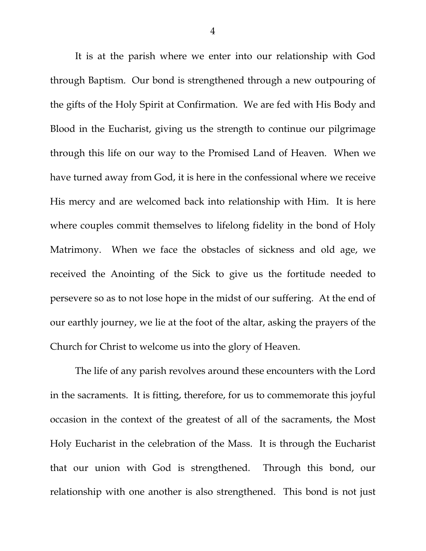It is at the parish where we enter into our relationship with God through Baptism. Our bond is strengthened through a new outpouring of the gifts of the Holy Spirit at Confirmation. We are fed with His Body and Blood in the Eucharist, giving us the strength to continue our pilgrimage through this life on our way to the Promised Land of Heaven. When we have turned away from God, it is here in the confessional where we receive His mercy and are welcomed back into relationship with Him. It is here where couples commit themselves to lifelong fidelity in the bond of Holy Matrimony. When we face the obstacles of sickness and old age, we received the Anointing of the Sick to give us the fortitude needed to persevere so as to not lose hope in the midst of our suffering. At the end of our earthly journey, we lie at the foot of the altar, asking the prayers of the Church for Christ to welcome us into the glory of Heaven.

 The life of any parish revolves around these encounters with the Lord in the sacraments. It is fitting, therefore, for us to commemorate this joyful occasion in the context of the greatest of all of the sacraments, the Most Holy Eucharist in the celebration of the Mass. It is through the Eucharist that our union with God is strengthened. Through this bond, our relationship with one another is also strengthened. This bond is not just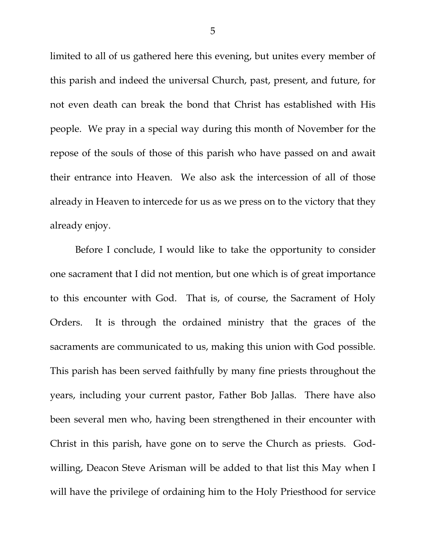limited to all of us gathered here this evening, but unites every member of this parish and indeed the universal Church, past, present, and future, for not even death can break the bond that Christ has established with His people. We pray in a special way during this month of November for the repose of the souls of those of this parish who have passed on and await their entrance into Heaven. We also ask the intercession of all of those already in Heaven to intercede for us as we press on to the victory that they already enjoy.

 Before I conclude, I would like to take the opportunity to consider one sacrament that I did not mention, but one which is of great importance to this encounter with God. That is, of course, the Sacrament of Holy Orders. It is through the ordained ministry that the graces of the sacraments are communicated to us, making this union with God possible. This parish has been served faithfully by many fine priests throughout the years, including your current pastor, Father Bob Jallas. There have also been several men who, having been strengthened in their encounter with Christ in this parish, have gone on to serve the Church as priests. Godwilling, Deacon Steve Arisman will be added to that list this May when I will have the privilege of ordaining him to the Holy Priesthood for service